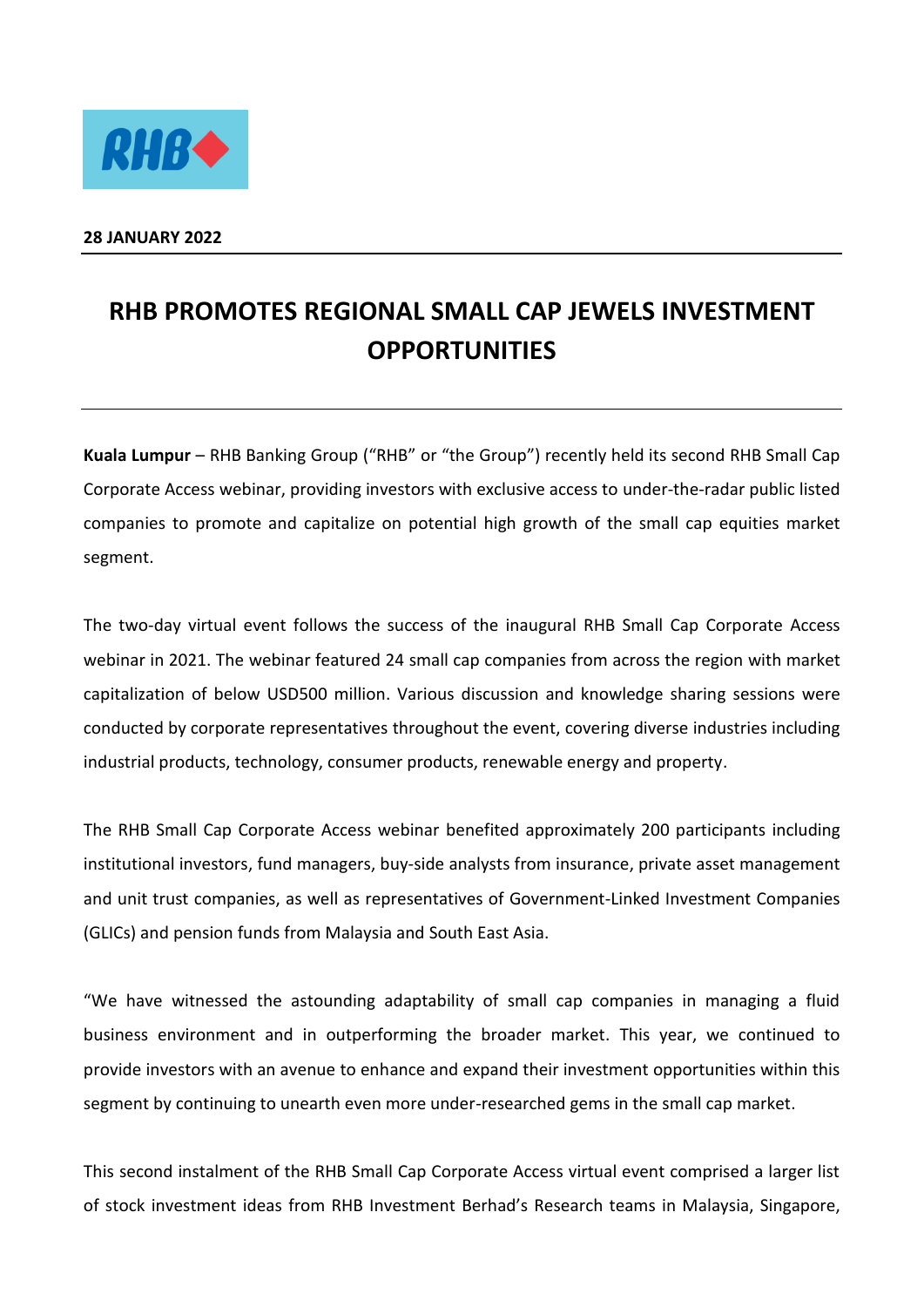

## **28 JANUARY 2022**

## **RHB PROMOTES REGIONAL SMALL CAP JEWELS INVESTMENT OPPORTUNITIES**

**Kuala Lumpur** – RHB Banking Group ("RHB" or "the Group") recently held its second RHB Small Cap Corporate Access webinar, providing investors with exclusive access to under-the-radar public listed companies to promote and capitalize on potential high growth of the small cap equities market segment.

The two-day virtual event follows the success of the inaugural RHB Small Cap Corporate Access webinar in 2021. The webinar featured 24 small cap companies from across the region with market capitalization of below USD500 million. Various discussion and knowledge sharing sessions were conducted by corporate representatives throughout the event, covering diverse industries including industrial products, technology, consumer products, renewable energy and property.

The RHB Small Cap Corporate Access webinar benefited approximately 200 participants including institutional investors, fund managers, buy-side analysts from insurance, private asset management and unit trust companies, as well as representatives of Government-Linked Investment Companies (GLICs) and pension funds from Malaysia and South East Asia.

"We have witnessed the astounding adaptability of small cap companies in managing a fluid business environment and in outperforming the broader market. This year, we continued to provide investors with an avenue to enhance and expand their investment opportunities within this segment by continuing to unearth even more under-researched gems in the small cap market.

This second instalment of the RHB Small Cap Corporate Access virtual event comprised a larger list of stock investment ideas from RHB Investment Berhad's Research teams in Malaysia, Singapore,